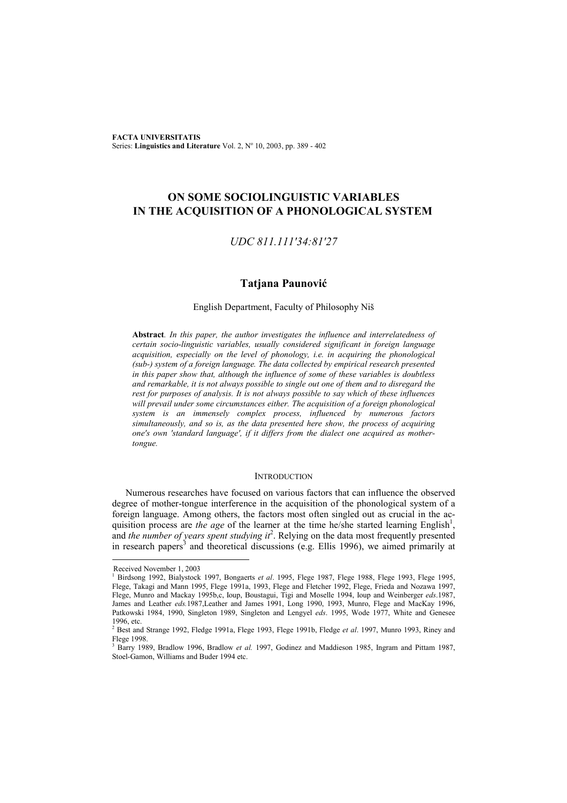**FACTA UNIVERSITATIS** Series: Linguistics and Literature Vol. 2, Nº 10, 2003, pp. 389 - 402

# **ON SOME SOCIOLINGUISTIC VARIABLES IN THE ACQUISITION OF A PHONOLOGICAL SYSTEM**

# *UDC 811.111'34:81'27*

# **Tatjana Paunović**

### English Department, Faculty of Philosophy Niš

**Abstract***. In this paper, the author investigates the influence and interrelatedness of certain socio-linguistic variables, usually considered significant in foreign language acquisition, especially on the level of phonology, i.e. in acquiring the phonological (sub-) system of a foreign language. The data collected by empirical research presented in this paper show that, although the influence of some of these variables is doubtless and remarkable, it is not always possible to single out one of them and to disregard the rest for purposes of analysis. It is not always possible to say which of these influences will prevail under some circumstances either. The acquisition of a foreign phonological system is an immensely complex process, influenced by numerous factors simultaneously, and so is, as the data presented here show, the process of acquiring one's own 'standard language', if it differs from the dialect one acquired as mothertongue.*

## **INTRODUCTION**

Numerous researches have focused on various factors that can influence the observed degree of mother-tongue interference in the acquisition of the phonological system of a foreign language. Among others, the factors most often singled out as crucial in the acquisition process are *the age* of the learner at the time he/she started learning English<sup>1</sup>, and *the number of years spent studying it*<sup>2</sup> . Relying on the data most frequently presented in research papers<sup>3</sup> and theoretical discussions (e.g. Ellis 1996), we aimed primarily at

l

Received November 1, 2003

<sup>1</sup> Birdsong 1992, Bialystock 1997, Bongaerts *et al*. 1995, Flege 1987, Flege 1988, Flege 1993, Flege 1995, Flege, Takagi and Mann 1995, Flege 1991a, 1993, Flege and Fletcher 1992, Flege, Frieda and Nozawa 1997, Flege, Munro and Mackay 1995b,c, Ioup, Boustagui, Tigi and Moselle 1994, Ioup and Weinberger *eds*.1987, James and Leather *eds.*1987,Leather and James 1991, Long 1990, 1993, Munro, Flege and MacKay 1996, Patkowski 1984, 1990, Singleton 1989, Singleton and Lengyel *eds*. 1995, Wode 1977, White and Genesee 1996, etc.

<sup>2</sup> Best and Strange 1992, Fledge 1991a, Flege 1993, Flege 1991b, Fledge *et al*. 1997, Munro 1993, Riney and Flege 1998.

<sup>&</sup>lt;sup>3</sup> Barry 1989, Bradlow 1996, Bradlow *et al.* 1997, Godinez and Maddieson 1985, Ingram and Pittam 1987, Stoel-Gamon, Williams and Buder 1994 etc.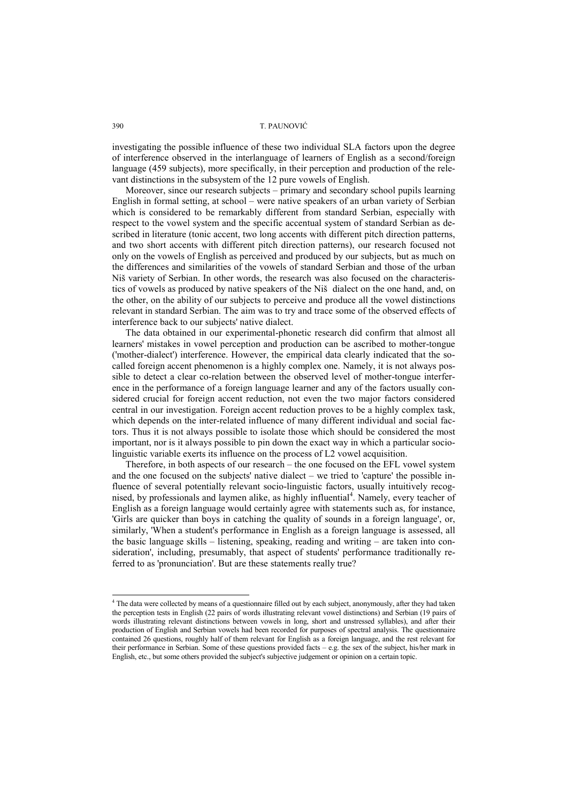investigating the possible influence of these two individual SLA factors upon the degree of interference observed in the interlanguage of learners of English as a second/foreign language (459 subjects), more specifically, in their perception and production of the relevant distinctions in the subsystem of the 12 pure vowels of English.

Moreover, since our research subjects – primary and secondary school pupils learning English in formal setting, at school – were native speakers of an urban variety of Serbian which is considered to be remarkably different from standard Serbian, especially with respect to the vowel system and the specific accentual system of standard Serbian as described in literature (tonic accent, two long accents with different pitch direction patterns, and two short accents with different pitch direction patterns), our research focused not only on the vowels of English as perceived and produced by our subjects, but as much on the differences and similarities of the vowels of standard Serbian and those of the urban Niš variety of Serbian. In other words, the research was also focused on the characteristics of vowels as produced by native speakers of the Niš dialect on the one hand, and, on the other, on the ability of our subjects to perceive and produce all the vowel distinctions relevant in standard Serbian. The aim was to try and trace some of the observed effects of interference back to our subjects' native dialect.

The data obtained in our experimental-phonetic research did confirm that almost all learners' mistakes in vowel perception and production can be ascribed to mother-tongue ('mother-dialect') interference. However, the empirical data clearly indicated that the socalled foreign accent phenomenon is a highly complex one. Namely, it is not always possible to detect a clear co-relation between the observed level of mother-tongue interference in the performance of a foreign language learner and any of the factors usually considered crucial for foreign accent reduction, not even the two major factors considered central in our investigation. Foreign accent reduction proves to be a highly complex task, which depends on the inter-related influence of many different individual and social factors. Thus it is not always possible to isolate those which should be considered the most important, nor is it always possible to pin down the exact way in which a particular sociolinguistic variable exerts its influence on the process of L2 vowel acquisition.

Therefore, in both aspects of our research – the one focused on the EFL vowel system and the one focused on the subjects' native dialect – we tried to 'capture' the possible influence of several potentially relevant socio-linguistic factors, usually intuitively recognised, by professionals and laymen alike, as highly influential<sup>4</sup>. Namely, every teacher of English as a foreign language would certainly agree with statements such as, for instance, 'Girls are quicker than boys in catching the quality of sounds in a foreign language', or, similarly, 'When a student's performance in English as a foreign language is assessed, all the basic language skills – listening, speaking, reading and writing – are taken into consideration', including, presumably, that aspect of students' performance traditionally referred to as 'pronunciation'. But are these statements really true?

 4 The data were collected by means of a questionnaire filled out by each subject, anonymously, after they had taken the perception tests in English (22 pairs of words illustrating relevant vowel distinctions) and Serbian (19 pairs of words illustrating relevant distinctions between vowels in long, short and unstressed syllables), and after their production of English and Serbian vowels had been recorded for purposes of spectral analysis. The questionnaire contained 26 questions, roughly half of them relevant for English as a foreign language, and the rest relevant for their performance in Serbian. Some of these questions provided facts – e.g. the sex of the subject, his/her mark in English, etc., but some others provided the subject's subjective judgement or opinion on a certain topic.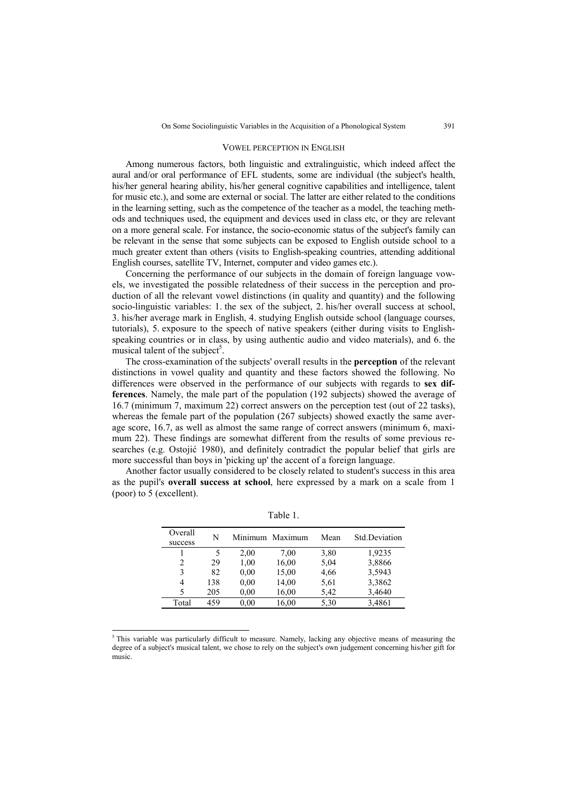#### VOWEL PERCEPTION IN ENGLISH

Among numerous factors, both linguistic and extralinguistic, which indeed affect the aural and/or oral performance of EFL students, some are individual (the subject's health, his/her general hearing ability, his/her general cognitive capabilities and intelligence, talent for music etc.), and some are external or social. The latter are either related to the conditions in the learning setting, such as the competence of the teacher as a model, the teaching methods and techniques used, the equipment and devices used in class etc, or they are relevant on a more general scale. For instance, the socio-economic status of the subject's family can be relevant in the sense that some subjects can be exposed to English outside school to a much greater extent than others (visits to English-speaking countries, attending additional English courses, satellite TV, Internet, computer and video games etc.).

Concerning the performance of our subjects in the domain of foreign language vowels, we investigated the possible relatedness of their success in the perception and production of all the relevant vowel distinctions (in quality and quantity) and the following socio-linguistic variables: 1. the sex of the subject, 2. his/her overall success at school, 3. his/her average mark in English, 4. studying English outside school (language courses, tutorials), 5. exposure to the speech of native speakers (either during visits to Englishspeaking countries or in class, by using authentic audio and video materials), and 6. the musical talent of the subject<sup>5</sup>.

The cross-examination of the subjects' overall results in the **perception** of the relevant distinctions in vowel quality and quantity and these factors showed the following. No differences were observed in the performance of our subjects with regards to **sex differences**. Namely, the male part of the population (192 subjects) showed the average of 16.7 (minimum 7, maximum 22) correct answers on the perception test (out of 22 tasks), whereas the female part of the population (267 subjects) showed exactly the same average score, 16.7, as well as almost the same range of correct answers (minimum 6, maximum 22). These findings are somewhat different from the results of some previous researches (e.g. Ostojić 1980), and definitely contradict the popular belief that girls are more successful than boys in 'picking up' the accent of a foreign language.

Another factor usually considered to be closely related to student's success in this area as the pupil's **overall success at school**, here expressed by a mark on a scale from 1 (poor) to 5 (excellent).

| Overall<br>success | N   |      | Minimum Maximum | Mean | Std.Deviation |
|--------------------|-----|------|-----------------|------|---------------|
|                    | 5   | 2,00 | 7,00            | 3,80 | 1,9235        |
| 2                  | 29  | 1,00 | 16,00           | 5,04 | 3,8866        |
| 3                  | 82  | 0.00 | 15,00           | 4,66 | 3,5943        |
| 4                  | 138 | 0.00 | 14,00           | 5.61 | 3,3862        |
| 5                  | 205 | 0.00 | 16,00           | 5,42 | 3,4640        |
| Total              | 459 | 0.00 | 16.00           | 5,30 | 3,4861        |

Table 1.

<sup>5</sup>This variable was particularly difficult to measure. Namely, lacking any objective means of measuring the degree of a subject's musical talent, we chose to rely on the subject's own judgement concerning his/her gift for music.

l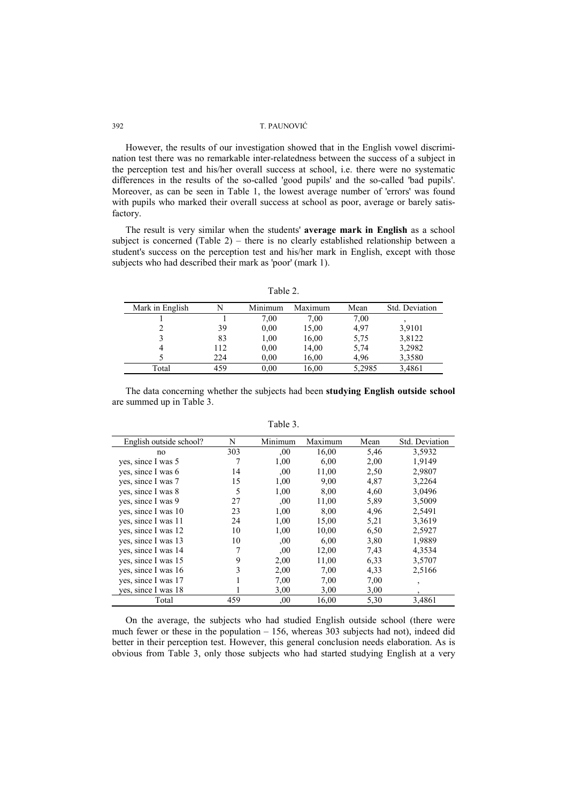However, the results of our investigation showed that in the English vowel discrimination test there was no remarkable inter-relatedness between the success of a subject in the perception test and his/her overall success at school, i.e. there were no systematic differences in the results of the so-called 'good pupils' and the so-called 'bad pupils'. Moreover, as can be seen in Table 1, the lowest average number of 'errors' was found with pupils who marked their overall success at school as poor, average or barely satisfactory.

The result is very similar when the students' **average mark in English** as a school subject is concerned (Table 2) – there is no clearly established relationship between a student's success on the perception test and his/her mark in English, except with those subjects who had described their mark as 'poor' (mark 1).

Table 2.

| Mark in English |     | Minimum | Maximum | Mean   | Std. Deviation |
|-----------------|-----|---------|---------|--------|----------------|
|                 |     | 7.00    | 7,00    | 7,00   |                |
|                 | 39  | 0,00    | 15,00   | 4,97   | 3,9101         |
|                 | 83  | 1,00    | 16,00   | 5,75   | 3,8122         |
|                 | 112 | 0.00    | 14,00   | 5,74   | 3,2982         |
|                 | 224 | 0.00    | 16,00   | 4.96   | 3,3580         |
| Total           | 459 | 0,00    | 16,00   | 5,2985 | 3,4861         |

The data concerning whether the subjects had been **studying English outside school** are summed up in Table 3.

| English outside school? | N   | Minimum | Maximum | Mean | Std. Deviation |
|-------------------------|-----|---------|---------|------|----------------|
|                         |     |         |         |      |                |
| no                      | 303 | ,00     | 16,00   | 5,46 | 3,5932         |
| yes, since I was 5      |     | 1,00    | 6.00    | 2,00 | 1,9149         |
| yes, since I was 6      | 14  | .00.    | 11,00   | 2,50 | 2,9807         |
| yes, since I was 7      | 15  | 1,00    | 9,00    | 4,87 | 3,2264         |
| yes, since I was 8      | 5   | 1,00    | 8,00    | 4,60 | 3,0496         |
| yes, since I was 9      | 27  | .00.    | 11,00   | 5,89 | 3,5009         |
| ves, since I was 10     | 23  | 1,00    | 8,00    | 4,96 | 2,5491         |
| ves, since I was 11     | 24  | 1,00    | 15,00   | 5,21 | 3,3619         |
| ves, since I was 12     | 10  | 1,00    | 10,00   | 6,50 | 2,5927         |
| yes, since I was 13     | 10  | 00,     | 6,00    | 3,80 | 1,9889         |
| ves, since I was 14     | 7   | 00,     | 12,00   | 7,43 | 4,3534         |
| ves, since I was 15     | 9   | 2,00    | 11,00   | 6.33 | 3,5707         |
| ves, since I was 16     | 3   | 2,00    | 7,00    | 4,33 | 2,5166         |
| ves, since I was 17     |     | 7,00    | 7,00    | 7,00 | $\overline{ }$ |
| yes, since I was 18     |     | 3,00    | 3,00    | 3,00 | $\cdot$        |
| Total                   | 459 | 00,     | 16,00   | 5,30 | 3,4861         |

Table 3.

On the average, the subjects who had studied English outside school (there were much fewer or these in the population – 156, whereas 303 subjects had not), indeed did better in their perception test. However, this general conclusion needs elaboration. As is obvious from Table 3, only those subjects who had started studying English at a very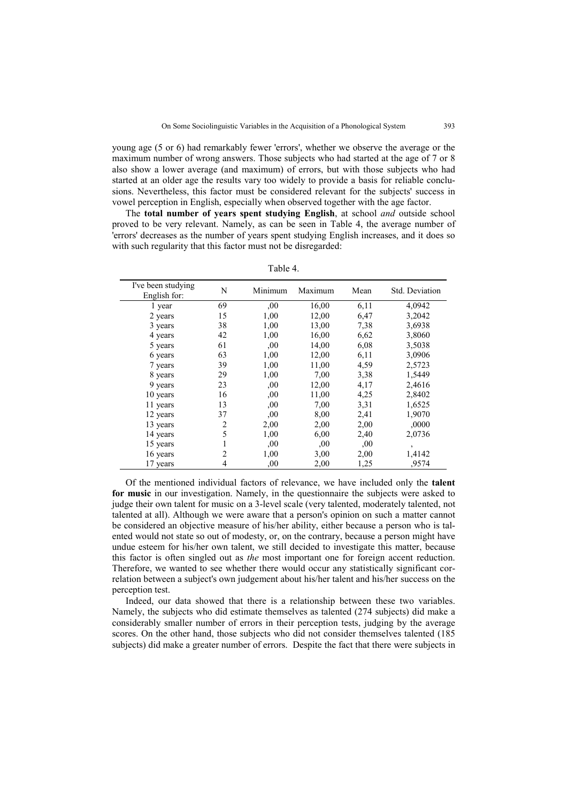young age (5 or 6) had remarkably fewer 'errors', whether we observe the average or the maximum number of wrong answers. Those subjects who had started at the age of 7 or 8 also show a lower average (and maximum) of errors, but with those subjects who had started at an older age the results vary too widely to provide a basis for reliable conclusions. Nevertheless, this factor must be considered relevant for the subjects' success in vowel perception in English, especially when observed together with the age factor.

The **total number of years spent studying English**, at school *and* outside school proved to be very relevant. Namely, as can be seen in Table 4, the average number of 'errors' decreases as the number of years spent studying English increases, and it does so with such regularity that this factor must not be disregarded:

| Table 4. |  |
|----------|--|
|----------|--|

| I've been studying<br>English for: | N              | Minimum | Maximum | Mean | Std. Deviation |
|------------------------------------|----------------|---------|---------|------|----------------|
| 1 year                             | 69             | ,00     | 16,00   | 6,11 | 4,0942         |
| 2 years                            | 15             | 1,00    | 12,00   | 6,47 | 3,2042         |
| 3 years                            | 38             | 1,00    | 13,00   | 7.38 | 3,6938         |
| 4 years                            | 42             | 1,00    | 16,00   | 6.62 | 3,8060         |
| 5 years                            | 61             | .00     | 14,00   | 6,08 | 3,5038         |
| 6 years                            | 63             | 1,00    | 12,00   | 6,11 | 3,0906         |
| 7 years                            | 39             | 1,00    | 11,00   | 4,59 | 2,5723         |
| 8 years                            | 29             | 1,00    | 7,00    | 3,38 | 1,5449         |
| 9 years                            | 23             | 00,     | 12,00   | 4,17 | 2,4616         |
| 10 years                           | 16             | ,00     | 11,00   | 4,25 | 2,8402         |
| 11 years                           | 13             | ,00     | 7,00    | 3,31 | 1,6525         |
| 12 years                           | 37             | 00,     | 8,00    | 2,41 | 1,9070         |
| 13 years                           | $\overline{2}$ | 2,00    | 2,00    | 2,00 | ,0000          |
| 14 years                           | 5              | 1,00    | 6,00    | 2,40 | 2,0736         |
| 15 years                           |                | 00      | .00.    | 00   | $\overline{ }$ |
| 16 years                           | 2              | 1,00    | 3,00    | 2,00 | 1,4142         |
| 17 years                           | 4              | ,00     | 2,00    | 1,25 | .9574          |

Of the mentioned individual factors of relevance, we have included only the **talent for music** in our investigation. Namely, in the questionnaire the subjects were asked to judge their own talent for music on a 3-level scale (very talented, moderately talented, not talented at all). Although we were aware that a person's opinion on such a matter cannot be considered an objective measure of his/her ability, either because a person who is talented would not state so out of modesty, or, on the contrary, because a person might have undue esteem for his/her own talent, we still decided to investigate this matter, because this factor is often singled out as *the* most important one for foreign accent reduction. Therefore, we wanted to see whether there would occur any statistically significant correlation between a subject's own judgement about his/her talent and his/her success on the perception test.

Indeed, our data showed that there is a relationship between these two variables. Namely, the subjects who did estimate themselves as talented (274 subjects) did make a considerably smaller number of errors in their perception tests, judging by the average scores. On the other hand, those subjects who did not consider themselves talented (185 subjects) did make a greater number of errors. Despite the fact that there were subjects in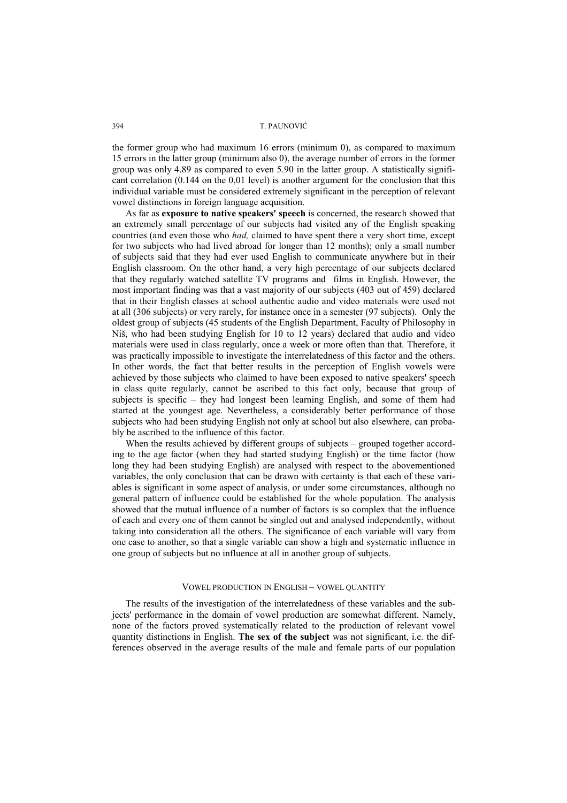the former group who had maximum 16 errors (minimum 0), as compared to maximum 15 errors in the latter group (minimum also 0), the average number of errors in the former group was only 4.89 as compared to even 5.90 in the latter group. A statistically significant correlation (0.144 on the 0,01 level) is another argument for the conclusion that this individual variable must be considered extremely significant in the perception of relevant vowel distinctions in foreign language acquisition.

As far as **exposure to native speakers' speech** is concerned, the research showed that an extremely small percentage of our subjects had visited any of the English speaking countries (and even those who *had,* claimed to have spent there a very short time, except for two subjects who had lived abroad for longer than 12 months); only a small number of subjects said that they had ever used English to communicate anywhere but in their English classroom. On the other hand, a very high percentage of our subjects declared that they regularly watched satellite TV programs and films in English. However, the most important finding was that a vast majority of our subjects (403 out of 459) declared that in their English classes at school authentic audio and video materials were used not at all (306 subjects) or very rarely, for instance once in a semester (97 subjects). Only the oldest group of subjects (45 students of the English Department, Faculty of Philosophy in Niš, who had been studying English for 10 to 12 years) declared that audio and video materials were used in class regularly, once a week or more often than that. Therefore, it was practically impossible to investigate the interrelatedness of this factor and the others. In other words, the fact that better results in the perception of English vowels were achieved by those subjects who claimed to have been exposed to native speakers' speech in class quite regularly, cannot be ascribed to this fact only, because that group of subjects is specific – they had longest been learning English, and some of them had started at the youngest age. Nevertheless, a considerably better performance of those subjects who had been studying English not only at school but also elsewhere, can probably be ascribed to the influence of this factor.

When the results achieved by different groups of subjects – grouped together according to the age factor (when they had started studying English) or the time factor (how long they had been studying English) are analysed with respect to the abovementioned variables, the only conclusion that can be drawn with certainty is that each of these variables is significant in some aspect of analysis, or under some circumstances, although no general pattern of influence could be established for the whole population. The analysis showed that the mutual influence of a number of factors is so complex that the influence of each and every one of them cannot be singled out and analysed independently, without taking into consideration all the others. The significance of each variable will vary from one case to another, so that a single variable can show a high and systematic influence in one group of subjects but no influence at all in another group of subjects.

#### VOWEL PRODUCTION IN ENGLISH – VOWEL QUANTITY

The results of the investigation of the interrelatedness of these variables and the subjects' performance in the domain of vowel production are somewhat different. Namely, none of the factors proved systematically related to the production of relevant vowel quantity distinctions in English. **The sex of the subject** was not significant, i.e. the differences observed in the average results of the male and female parts of our population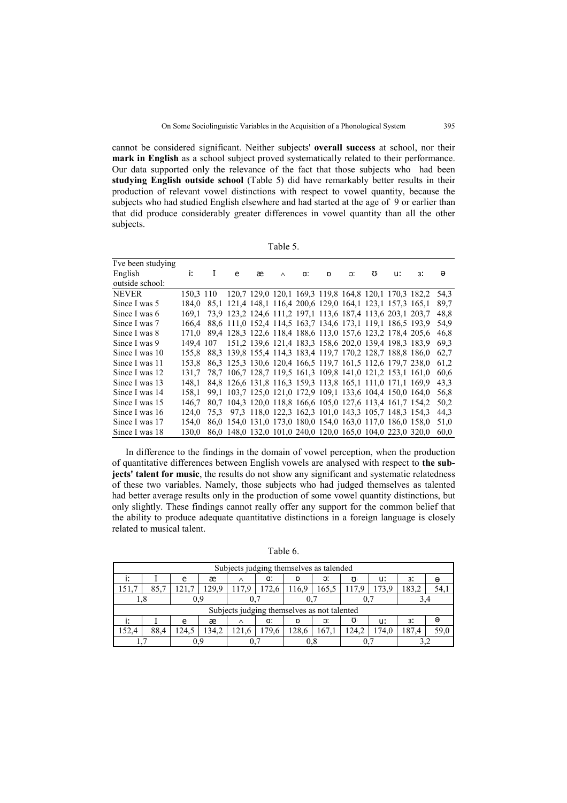cannot be considered significant. Neither subjects' **overall success** at school, nor their **mark in English** as a school subject proved systematically related to their performance. Our data supported only the relevance of the fact that those subjects who had been **studying English outside school** (Table 5) did have remarkably better results in their production of relevant vowel distinctions with respect to vowel quantity, because the subjects who had studied English elsewhere and had started at the age of 9 or earlier than that did produce considerably greater differences in vowel quantity than all the other subjects.

| I've been studying |           |                                                            |   |          |    |   |    |   |    |    |      |
|--------------------|-----------|------------------------------------------------------------|---|----------|----|---|----|---|----|----|------|
| English            | i:        | e                                                          | æ | $\wedge$ | a: | D | C. | Ω | u: | 3: | ә    |
| outside school:    |           |                                                            |   |          |    |   |    |   |    |    |      |
| <b>NEVER</b>       | 150.3 110 | 120,7 129,0 120,1 169,3 119,8 164,8 120,1 170,3 182,2      |   |          |    |   |    |   |    |    | 54.3 |
| Since I was 5      | 184.0     | 85,1 121,4 148,1 116,4 200,6 129,0 164,1 123,1 157,3 165,1 |   |          |    |   |    |   |    |    | 89.7 |
| Since I was 6      | 169.1     | 73,9 123,2 124,6 111,2 197,1 113,6 187,4 113,6 203,1 203,7 |   |          |    |   |    |   |    |    | 48.8 |
| Since I was 7      | 166.4     | 88,6 111,0 152,4 114,5 163,7 134,6 173,1 119,1 186,5 193,9 |   |          |    |   |    |   |    |    | 54.9 |
| Since I was 8      | 171.0     | 89.4 128.3 122.6 118.4 188.6 113.0 157.6 123.2 178.4 205.6 |   |          |    |   |    |   |    |    | 46,8 |
| Since I was 9      | 149.4 107 | 151,2 139,6 121,4 183,3 158,6 202,0 139,4 198,3 183,9      |   |          |    |   |    |   |    |    | 69.3 |
| Since I was 10     | 155.8     | 88.3 139.8 155.4 114.3 183.4 119.7 170.2 128.7 188.8 186.0 |   |          |    |   |    |   |    |    | 62,7 |
| Since I was 11     | 153.8     | 86.3 125.3 130.6 120.4 166.5 119.7 161.5 112.6 179.7 238.0 |   |          |    |   |    |   |    |    | 61,2 |
| Since I was 12     | 131.7     | 78.7 106.7 128.7 119.5 161.3 109.8 141.0 121.2 153.1 161.0 |   |          |    |   |    |   |    |    | 60.6 |
| Since I was 13     | 148.1     | 84,8 126,6 131,8 116,3 159,3 113,8 165,1 111,0 171,1 169,9 |   |          |    |   |    |   |    |    | 43,3 |
| Since I was 14     | 158.1     | 99,1 103,7 125,0 121,0 172,9 109,1 133,6 104,4 150,0 164,0 |   |          |    |   |    |   |    |    | 56,8 |
| Since I was 15     | 146.7     | 80.7 104.3 120.0 118.8 166.6 105.0 127.6 113.4 161.7 154.2 |   |          |    |   |    |   |    |    | 50.2 |
| Since I was 16     | 124.0     | 75,3 97,3 118,0 122,3 162,3 101,0 143,3 105,7 148,3 154,3  |   |          |    |   |    |   |    |    | 44,3 |
| Since I was 17     | 154.0     | 86,0 154,0 131,0 173,0 180,0 154,0 163,0 117,0 186,0 158,0 |   |          |    |   |    |   |    |    | 51.0 |
| Since I was 18     | 130.0     | 86.0 148.0 132.0 101.0 240.0 120.0 165.0 104.0 223.0 320.0 |   |          |    |   |    |   |    |    | 60,0 |

In difference to the findings in the domain of vowel perception, when the production of quantitative differences between English vowels are analysed with respect to **the subjects' talent for music**, the results do not show any significant and systematic relatedness of these two variables. Namely, those subjects who had judged themselves as talented had better average results only in the production of some vowel quantity distinctions, but only slightly. These findings cannot really offer any support for the common belief that the ability to produce adequate quantitative distinctions in a foreign language is closely related to musical talent.

Table 6.

|       | Subjects judging themselves as talended |       |       |       |                                             |       |       |       |       |       |      |  |  |
|-------|-----------------------------------------|-------|-------|-------|---------------------------------------------|-------|-------|-------|-------|-------|------|--|--|
|       |                                         | e     | æ     |       | a:<br>D                                     |       | Э.    |       | u:    | 3:    | ə    |  |  |
| 151,7 | 85.7                                    | .21.7 | .29.9 | 117.9 | 172.6                                       | 116.9 | 165.5 | 117.9 | 173.9 | 183.2 | 54.  |  |  |
|       | ۱.o                                     |       |       |       |                                             |       |       |       |       |       |      |  |  |
|       |                                         |       |       |       | Subjects judging themselves as not talented |       |       |       |       |       |      |  |  |
|       |                                         | e     | æ     | ∧     | a:                                          | D     | Э.    | ζJ    | u:    | 3:    | Э    |  |  |
| 152.4 | 88.4                                    | 24.5  | 34.2  |       | 179.6                                       | 128.6 | 167.  | 24.2  | 74.0  | 187.4 | 59.0 |  |  |
|       |                                         |       |       |       |                                             |       |       |       |       |       |      |  |  |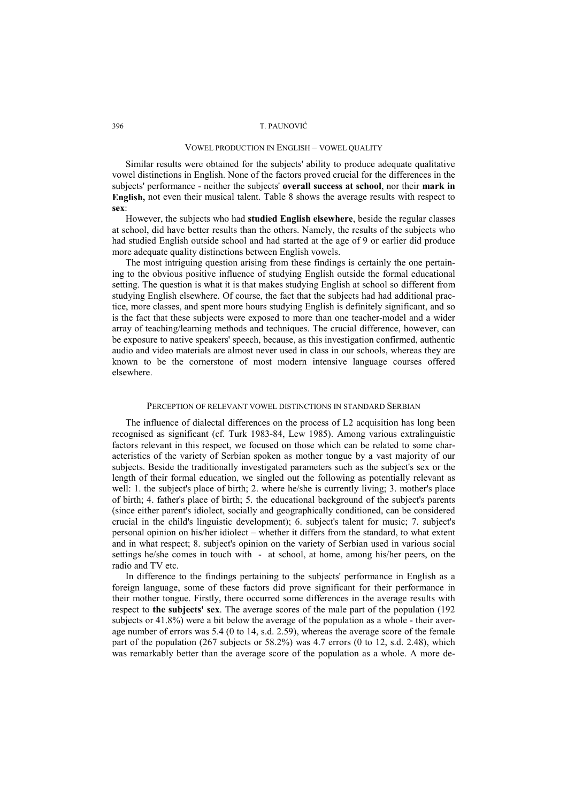#### VOWEL PRODUCTION IN ENGLISH – VOWEL QUALITY

Similar results were obtained for the subjects' ability to produce adequate qualitative vowel distinctions in English. None of the factors proved crucial for the differences in the subjects' performance - neither the subjects' **overall success at school**, nor their **mark in English,** not even their musical talent. Table 8 shows the average results with respect to **sex**:

However, the subjects who had **studied English elsewhere**, beside the regular classes at school, did have better results than the others. Namely, the results of the subjects who had studied English outside school and had started at the age of 9 or earlier did produce more adequate quality distinctions between English vowels.

The most intriguing question arising from these findings is certainly the one pertaining to the obvious positive influence of studying English outside the formal educational setting. The question is what it is that makes studying English at school so different from studying English elsewhere. Of course, the fact that the subjects had had additional practice, more classes, and spent more hours studying English is definitely significant, and so is the fact that these subjects were exposed to more than one teacher-model and a wider array of teaching/learning methods and techniques. The crucial difference, however, can be exposure to native speakers' speech, because, as this investigation confirmed, authentic audio and video materials are almost never used in class in our schools, whereas they are known to be the cornerstone of most modern intensive language courses offered elsewhere.

### PERCEPTION OF RELEVANT VOWEL DISTINCTIONS IN STANDARD SERBIAN

The influence of dialectal differences on the process of L2 acquisition has long been recognised as significant (cf. Turk 1983-84, Lew 1985). Among various extralinguistic factors relevant in this respect, we focused on those which can be related to some characteristics of the variety of Serbian spoken as mother tongue by a vast majority of our subjects. Beside the traditionally investigated parameters such as the subject's sex or the length of their formal education, we singled out the following as potentially relevant as well: 1. the subject's place of birth; 2. where he/she is currently living; 3. mother's place of birth; 4. father's place of birth; 5. the educational background of the subject's parents (since either parent's idiolect, socially and geographically conditioned, can be considered crucial in the child's linguistic development); 6. subject's talent for music; 7. subject's personal opinion on his/her idiolect – whether it differs from the standard, to what extent and in what respect; 8. subject's opinion on the variety of Serbian used in various social settings he/she comes in touch with - at school, at home, among his/her peers, on the radio and TV etc.

In difference to the findings pertaining to the subjects' performance in English as a foreign language, some of these factors did prove significant for their performance in their mother tongue. Firstly, there occurred some differences in the average results with respect to **the subjects' sex**. The average scores of the male part of the population (192 subjects or 41.8%) were a bit below the average of the population as a whole - their average number of errors was 5.4 (0 to 14, s.d. 2.59), whereas the average score of the female part of the population (267 subjects or 58.2%) was 4.7 errors (0 to 12, s.d. 2.48), which was remarkably better than the average score of the population as a whole. A more de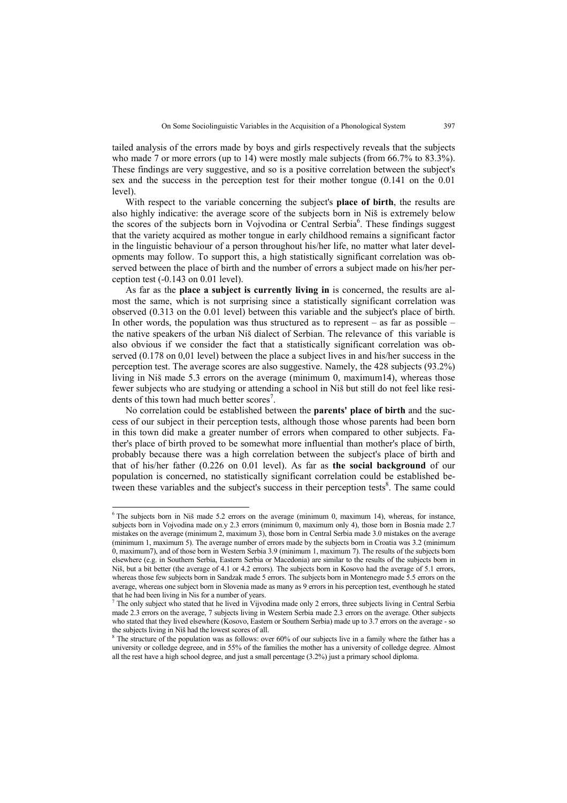tailed analysis of the errors made by boys and girls respectively reveals that the subjects who made 7 or more errors (up to 14) were mostly male subjects (from 66.7% to 83.3%). These findings are very suggestive, and so is a positive correlation between the subject's sex and the success in the perception test for their mother tongue (0.141 on the 0.01 level).

With respect to the variable concerning the subject's **place of birth**, the results are also highly indicative: the average score of the subjects born in Niš is extremely below the scores of the subjects born in Vojvodina or Central Serbia<sup>6</sup>. These findings suggest that the variety acquired as mother tongue in early childhood remains a significant factor in the linguistic behaviour of a person throughout his/her life, no matter what later developments may follow. To support this, a high statistically significant correlation was observed between the place of birth and the number of errors a subject made on his/her perception test (-0.143 on 0.01 level).

As far as the **place a subject is currently living in** is concerned, the results are almost the same, which is not surprising since a statistically significant correlation was observed (0.313 on the 0.01 level) between this variable and the subject's place of birth. In other words, the population was thus structured as to represent – as far as possible – the native speakers of the urban Niš dialect of Serbian. The relevance of this variable is also obvious if we consider the fact that a statistically significant correlation was observed (0.178 on 0,01 level) between the place a subject lives in and his/her success in the perception test. The average scores are also suggestive. Namely, the 428 subjects (93.2%) living in Niš made 5.3 errors on the average (minimum 0, maximum14), whereas those fewer subjects who are studying or attending a school in Niš but still do not feel like residents of this town had much better scores<sup>7</sup>.

No correlation could be established between the **parents' place of birth** and the success of our subject in their perception tests, although those whose parents had been born in this town did make a greater number of errors when compared to other subjects. Father's place of birth proved to be somewhat more influential than mother's place of birth, probably because there was a high correlation between the subject's place of birth and that of his/her father (0.226 on 0.01 level). As far as **the social background** of our population is concerned, no statistically significant correlation could be established between these variables and the subject's success in their perception tests $\delta$ . The same could

l

<sup>&</sup>lt;sup>6</sup> The subjects born in Niš made 5.2 errors on the average (minimum 0, maximum 14), whereas, for instance, subjects born in Vojvodina made on.y 2.3 errors (minimum 0, maximum only 4), those born in Bosnia made 2.7 mistakes on the average (minimum 2, maximum 3), those born in Central Serbia made 3.0 mistakes on the average (minimum 1, maximum 5). The average number of errors made by the subjects born in Croatia was 3.2 (minimum 0, maximum7), and of those born in Western Serbia 3.9 (minimum 1, maximum 7). The results of the subjects born elsewhere (e.g. in Southern Serbia, Eastern Serbia or Macedonia) are similar to the results of the subjects born in Niš, but a bit better (the average of 4.1 or 4.2 errors). The subjects born in Kosovo had the average of 5.1 errors, whereas those few subjects born in Sandzak made 5 errors. The subjects born in Montenegro made 5.5 errors on the average, whereas one subject born in Slovenia made as many as 9 errors in his perception test, eventhough he stated that he had been living in Nis for a number of years.<br><sup>7</sup> The only subject who stated that he lived in Viive

The only subject who stated that he lived in Vijvodina made only 2 errors, three subjects living in Central Serbia made 2.3 errors on the average, 7 subjects living in Western Serbia made 2.3 errors on the average. Other subjects who stated that they lived elsewhere (Kosovo, Eastern or Southern Serbia) made up to 3.7 errors on the average - so the subjects living in Niš had the lowest scores of all.

<sup>&</sup>lt;sup>8</sup> The structure of the population was as follows: over 60% of our subjects live in a family where the father has a university or colledge degreee, and in 55% of the families the mother has a university of colledge degree. Almost all the rest have a high school degree, and just a small percentage (3.2%) just a primary school diploma.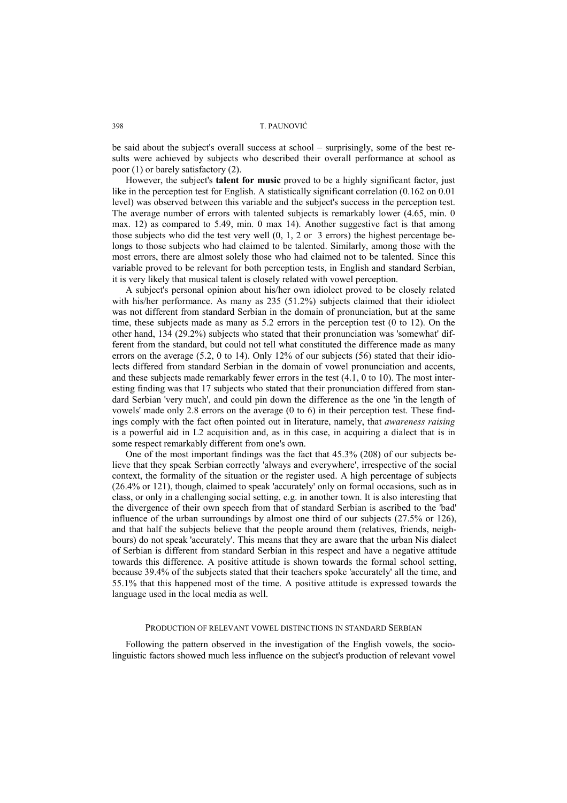be said about the subject's overall success at school – surprisingly, some of the best results were achieved by subjects who described their overall performance at school as poor (1) or barely satisfactory (2).

However, the subject's **talent for music** proved to be a highly significant factor, just like in the perception test for English. A statistically significant correlation (0.162 on 0.01 level) was observed between this variable and the subject's success in the perception test. The average number of errors with talented subjects is remarkably lower (4.65, min. 0 max. 12) as compared to 5.49, min. 0 max 14). Another suggestive fact is that among those subjects who did the test very well (0, 1, 2 or 3 errors) the highest percentage belongs to those subjects who had claimed to be talented. Similarly, among those with the most errors, there are almost solely those who had claimed not to be talented. Since this variable proved to be relevant for both perception tests, in English and standard Serbian, it is very likely that musical talent is closely related with vowel perception.

A subject's personal opinion about his/her own idiolect proved to be closely related with his/her performance. As many as 235 (51.2%) subjects claimed that their idiolect was not different from standard Serbian in the domain of pronunciation, but at the same time, these subjects made as many as 5.2 errors in the perception test (0 to 12). On the other hand, 134 (29.2%) subjects who stated that their pronunciation was 'somewhat' different from the standard, but could not tell what constituted the difference made as many errors on the average  $(5.2, 0 \text{ to } 14)$ . Only 12% of our subjects  $(56)$  stated that their idiolects differed from standard Serbian in the domain of vowel pronunciation and accents, and these subjects made remarkably fewer errors in the test (4.1, 0 to 10). The most interesting finding was that 17 subjects who stated that their pronunciation differed from standard Serbian 'very much', and could pin down the difference as the one 'in the length of vowels' made only 2.8 errors on the average (0 to 6) in their perception test. These findings comply with the fact often pointed out in literature, namely, that *awareness raising* is a powerful aid in L2 acquisition and, as in this case, in acquiring a dialect that is in some respect remarkably different from one's own.

One of the most important findings was the fact that 45.3% (208) of our subjects believe that they speak Serbian correctly 'always and everywhere', irrespective of the social context, the formality of the situation or the register used. A high percentage of subjects (26.4% or 121), though, claimed to speak 'accurately' only on formal occasions, such as in class, or only in a challenging social setting, e.g. in another town. It is also interesting that the divergence of their own speech from that of standard Serbian is ascribed to the 'bad' influence of the urban surroundings by almost one third of our subjects (27.5% or 126), and that half the subjects believe that the people around them (relatives, friends, neighbours) do not speak 'accurately'. This means that they are aware that the urban Nis dialect of Serbian is different from standard Serbian in this respect and have a negative attitude towards this difference. A positive attitude is shown towards the formal school setting, because 39.4% of the subjects stated that their teachers spoke 'accurately' all the time, and 55.1% that this happened most of the time. A positive attitude is expressed towards the language used in the local media as well.

#### PRODUCTION OF RELEVANT VOWEL DISTINCTIONS IN STANDARD SERBIAN

Following the pattern observed in the investigation of the English vowels, the sociolinguistic factors showed much less influence on the subject's production of relevant vowel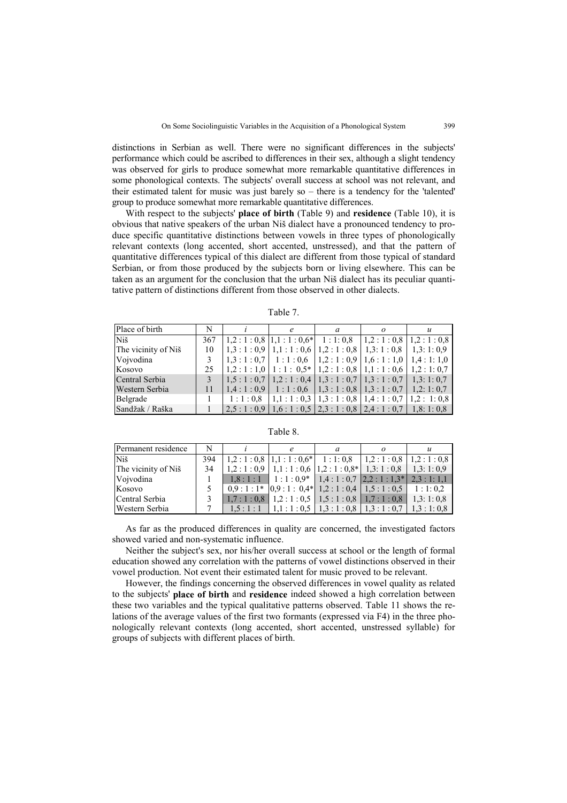distinctions in Serbian as well. There were no significant differences in the subjects' performance which could be ascribed to differences in their sex, although a slight tendency was observed for girls to produce somewhat more remarkable quantitative differences in some phonological contexts. The subjects' overall success at school was not relevant, and their estimated talent for music was just barely so – there is a tendency for the 'talented' group to produce somewhat more remarkable quantitative differences.

With respect to the subjects' **place of birth** (Table 9) and **residence** (Table 10), it is obvious that native speakers of the urban Niš dialect have a pronounced tendency to produce specific quantitative distinctions between vowels in three types of phonologically relevant contexts (long accented, short accented, unstressed), and that the pattern of quantitative differences typical of this dialect are different from those typical of standard Serbian, or from those produced by the subjects born or living elsewhere. This can be taken as an argument for the conclusion that the urban Niš dialect has its peculiar quantitative pattern of distinctions different from those observed in other dialects.

| anie |  |
|------|--|
|      |  |

| Place of birth      | N   |                                                                                                        | a | $\boldsymbol{u}$ |
|---------------------|-----|--------------------------------------------------------------------------------------------------------|---|------------------|
| <b>Niš</b>          | 367 | $\vert 1,2:1:0,8\vert 1,1:1:0,6\vert 1:1:0,8\vert 1,2:1:0,8\vert 1,2:1:0,8\vert$                       |   |                  |
| The vicinity of Niš | 10  | $\mid 1,3:1:0,9 \mid 1,1:1:0,6 \mid 1,2:1:0,8 \mid 1,3:1:0,8 \mid 1,3:1:0,9$                           |   |                  |
| Voivodina           |     | $\vert 1,3:1:0,7 \vert 1:1:0,6 \vert 1,2:1:0,9 \vert 1,6:1:1,0 \vert 1,4:1:1,0 \vert$                  |   |                  |
| Kosovo              | 25. | $\vert 1,2:1:1,0 \vert 1:1:0,5* \vert 1,2:1:0,8 \vert 1,1:1:0,6 \vert 1,2:1:0,7 \vert$                 |   |                  |
| Central Serbia      |     | $\vert 1,5:1:0,7 \vert 1,2:1:0,4 \vert 1,3:1:0,7 \vert 1,3:1:0,7 \vert 1,3:1:0,7 \vert$                |   |                  |
| Western Serbia      | 11  | $\vert 1,4:1:0,9 \vert 1:1:0,6 \vert 1,3:1:0,8 \vert 1,3:1:0,7 \vert 1,2:1:0,7 \vert$                  |   |                  |
| Belgrade            |     | $1:1:0,8$   $1,1:1:0,3$   $1,3:1:0,8$   $1,4:1:0,7$   $1,2:1:0,8$                                      |   |                  |
| Sandžak / Raška     |     | $\mid$ 2,5 : 1 : 0,9 $\mid$ 1,6 : 1 : 0,5 $\mid$ 2,3 : 1 : 0,8 $\mid$ 2,4 : 1 : 0,7 $\mid$ 1,8: 1: 0,8 |   |                  |

Table 8.

| Permanent residence |     |  |                                                                               |  |
|---------------------|-----|--|-------------------------------------------------------------------------------|--|
| <b>Niš</b>          | 394 |  | $1,2:1:0.8$   $1,1:1:0.6*$   $1:1:0.8$   $1,2:1:0.8$   $1,2:1:0.8$            |  |
| The vicinity of Niš | 34  |  | $1,2:1:0,9$   $1,1:1:0,6$   $1,2:1:0,8$ *   $1,3:1:0,8$   $1,3:1:0,9$         |  |
| Vojvodina           |     |  | $1,8:1:1$   $1:1:0.9*$   $1,4:1:0.7$   $2,2:1:1.3*$   $2,3:1:1.1$             |  |
| Kosovo              |     |  | $0,9:1:1^*$ $\vert 0,9:1:0,4^* \vert 1,2:1:0,4 \vert 1,5:1:0,5 \vert 1:1:0,2$ |  |
| Central Serbia      |     |  | $1,7:1:0,8$   $1,2:1:0,5$   $1,5:1:0,8$   $1,7:1:0,8$   $1,3:1:0,8$           |  |
| Western Serbia      |     |  | $1,5:1:1$   $1,1:1:0.5$   $1,3:1:0.8$   $1,3:1:0.7$   $1,3:1:0.8$             |  |

As far as the produced differences in quality are concerned, the investigated factors showed varied and non-systematic influence.

Neither the subject's sex, nor his/her overall success at school or the length of formal education showed any correlation with the patterns of vowel distinctions observed in their vowel production. Not event their estimated talent for music proved to be relevant.

However, the findings concerning the observed differences in vowel quality as related to the subjects' **place of birth** and **residence** indeed showed a high correlation between these two variables and the typical qualitative patterns observed. Table 11 shows the relations of the average values of the first two formants (expressed via F4) in the three phonologically relevant contexts (long accented, short accented, unstressed syllable) for groups of subjects with different places of birth.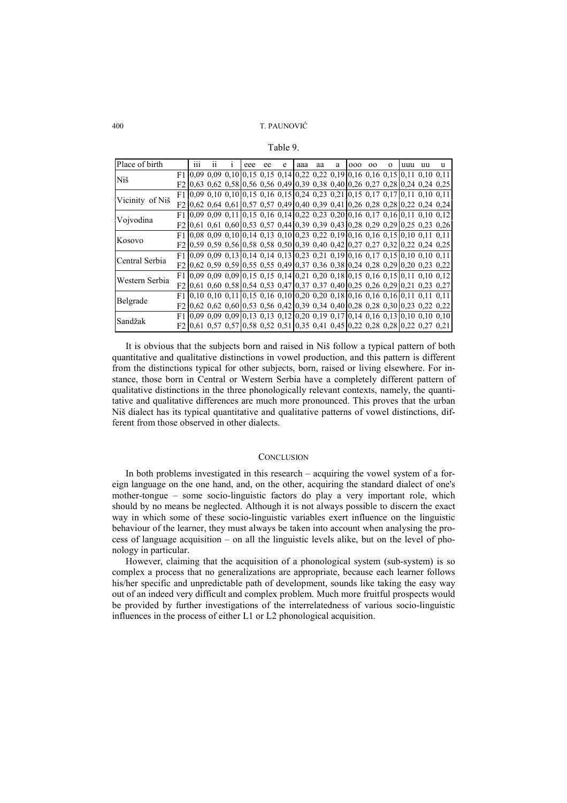Table 9.

| Place of birth  | 111 | 11 | eee | ee | e                                                                                                                                                        | aaa | aa | a | 000 | 00 | $\mathbf{O}$ | uuu | uu | u |
|-----------------|-----|----|-----|----|----------------------------------------------------------------------------------------------------------------------------------------------------------|-----|----|---|-----|----|--------------|-----|----|---|
| Niš             |     |    |     |    | $F1$ 0.09 0.09 0.10 0.15 0.15 0.14 0.22 0.22 0.19 0.16 0.16 0.15 0.11 0.10 0.11                                                                          |     |    |   |     |    |              |     |    |   |
|                 |     |    |     |    | F2 0,63 0,62 0,58 0,56 0,56 0,49 0,39 0,38 0,40 0,26 0,27 0,28 0,24 0,24 0,25                                                                            |     |    |   |     |    |              |     |    |   |
|                 |     |    |     |    | $F1$ [0,09 0,10 0,10 [0,15 0,16 0,15 [0,24 0,23 0,21 [0,15 0,17 0,17 [0,11 0,10 0,11]                                                                    |     |    |   |     |    |              |     |    |   |
| Vicinity of Niš |     |    |     |    | F2 0,62 0,64 0,61 0,57 0,57 0,49 0,40 0,39 0,41 0,26 0,28 0,28 0,22 0,24 0,24                                                                            |     |    |   |     |    |              |     |    |   |
| Vojvodina       |     |    |     |    | F1 0,09 0,09 0,11 0,15 0,16 0,14 0,22 0,23 0,20 0,16 0,17 0,16 0,11 0,10 0,12                                                                            |     |    |   |     |    |              |     |    |   |
|                 |     |    |     |    | F2 0,61 0,61 0,60 0,53 0,57 0,44 0,39 0,39 0,43 0,28 0,29 0,29 0,25 0,23 0,26                                                                            |     |    |   |     |    |              |     |    |   |
|                 |     |    |     |    | $F1$ 0.08 0.09 0.10 0.14 0.13 0.10 0.23 0.22 0.19 0.16 0.16 0.15 0.10 0.11 0.11                                                                          |     |    |   |     |    |              |     |    |   |
| Kosovo          |     |    |     |    | F2 0,59 0,59 0,56 0,58 0,58 0,50 0,39 0,40 0,42 0,27 0,27 0,32 0,22 0,24 0,25                                                                            |     |    |   |     |    |              |     |    |   |
| Central Serbia  |     |    |     |    | F1 0,09 0,09 0,13 0,14 0,14 0,13 0,23 0,21 0,19 0,16 0,17 0,15 0,10 0,10 0,11                                                                            |     |    |   |     |    |              |     |    |   |
|                 |     |    |     |    | F2 0.62 0.59 0.59 0.55 0.55 0.49 0.37 0.36 0.38 0.24 0.28 0.29 0.20 0.23 0.22                                                                            |     |    |   |     |    |              |     |    |   |
| Western Serbia  |     |    |     |    | F1 0,09 0,09 0,09 0,15 0,15 0,14 0,21 0,20 0,18 0,15 0,16 0,15 0,11 0,10 0,12                                                                            |     |    |   |     |    |              |     |    |   |
|                 |     |    |     |    | F2 0.61 0.60 0.58 0.54 0.53 0.47 0.37 0.37 0.40 0.25 0.26 0.29 0.21 0.23 0.27                                                                            |     |    |   |     |    |              |     |    |   |
| Belgrade        |     |    |     |    | $F1$ [0,10 0,10 0,11 [0,15 0,16 0,10 [0,20 0,20 0,18 [0,16 0,16 0,16 [0,11 0,11 0,11                                                                     |     |    |   |     |    |              |     |    |   |
|                 |     |    |     |    | F2 0,62 0,62 0,60 0,53 0,56 0,42 0,39 0,34 0,40 0,28 0,28 0,30 0,23 0,22 0,22                                                                            |     |    |   |     |    |              |     |    |   |
|                 |     |    |     |    | F1 0,09 0,09 0,09 0,13 0,13 0,12 0,20 0,19 0,17 0,14 0,16 0,13 0,10 0,10 0,10                                                                            |     |    |   |     |    |              |     |    |   |
| Sandžak         |     |    |     |    | F <sub>2</sub> <sup>[0,61</sup> 0,57 0,57 <sup>[0,58</sup> 0,52 0,51 <sup>[0,35</sup> 0,41 0,45 <sup>[0</sup> ,22 0,28 0,28 <sup>[0</sup> ,22 0,27 0,21] |     |    |   |     |    |              |     |    |   |

It is obvious that the subjects born and raised in Niš follow a typical pattern of both quantitative and qualitative distinctions in vowel production, and this pattern is different from the distinctions typical for other subjects, born, raised or living elsewhere. For instance, those born in Central or Western Serbia have a completely different pattern of qualitative distinctions in the three phonologically relevant contexts, namely, the quantitative and qualitative differences are much more pronounced. This proves that the urban Niš dialect has its typical quantitative and qualitative patterns of vowel distinctions, different from those observed in other dialects.

#### **CONCLUSION**

In both problems investigated in this research – acquiring the vowel system of a foreign language on the one hand, and, on the other, acquiring the standard dialect of one's mother-tongue – some socio-linguistic factors do play a very important role, which should by no means be neglected. Although it is not always possible to discern the exact way in which some of these socio-linguistic variables exert influence on the linguistic behaviour of the learner, they must always be taken into account when analysing the process of language acquisition – on all the linguistic levels alike, but on the level of phonology in particular.

However, claiming that the acquisition of a phonological system (sub-system) is so complex a process that no generalizations are appropriate, because each learner follows his/her specific and unpredictable path of development, sounds like taking the easy way out of an indeed very difficult and complex problem. Much more fruitful prospects would be provided by further investigations of the interrelatedness of various socio-linguistic influences in the process of either L1 or L2 phonological acquisition.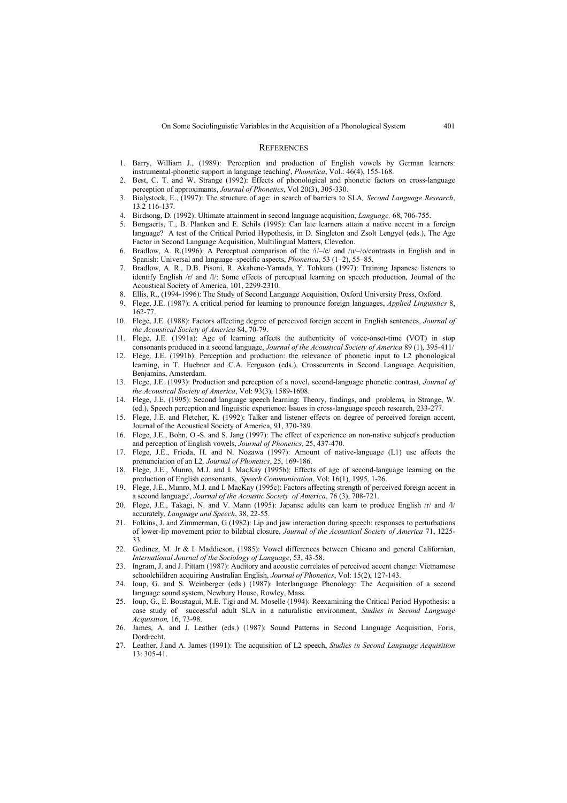#### **REFERENCES**

- 1. Barry, William J., (1989): 'Perception and production of English vowels by German learners: instrumental-phonetic support in language teaching', *Phonetica*, Vol.: 46(4), 155-168.
- 2. Best, C. T. and W. Strange (1992): Effects of phonological and phonetic factors on cross-language perception of approximants, *Journal of Phonetics*, Vol 20(3), 305-330.
- 3. Bialystock, E., (1997): The structure of age: in search of barriers to SLA*, Second Language Research*, 13.2 116-137.
- 4. Birdsong, D. (1992): Ultimate attainment in second language acquisition, *Language,* 68, 706-755.
- 5. Bongaerts, T., B. Planken and E. Schils (1995): Can late learners attain a native accent in a foreign language? A test of the Critical Period Hypothesis, in D. Singleton and Zsolt Lengyel (eds.), The Age Factor in Second Language Acquisition, Multilingual Matters, Clevedon.
- Bradlow, A. R.(1996): A Perceptual comparison of the  $/i$ –/e/ and  $/u$ –/o/contrasts in English and in Spanish: Universal and language–specific aspects, *Phonetica*, 53 (1–2), 55–85.
- 7. Bradlow, A. R., D.B. Pisoni, R. Akahene-Yamada, Y. Tohkura (1997): Training Japanese listeners to identify English /r/ and /l/: Some effects of perceptual learning on speech production, Journal of the Acoustical Society of America, 101, 2299-2310.
- Ellis, R., (1994-1996): The Study of Second Language Acquisition, Oxford University Press, Oxford.
- 9. Flege, J.E. (1987): A critical period for learning to pronounce foreign languages, *Applied Linguistics* 8, 162-77.
- 10. Flege, J.E. (1988): Factors affecting degree of perceived foreign accent in English sentences, *Journal of the Acoustical Society of America* 84, 70-79.
- 11. Flege, J.E. (1991a): Age of learning affects the authenticity of voice-onset-time (VOT) in stop consonants produced in a second language, *Journal of the Acoustical Society of America* 89 (1), 395-411/
- 12. Flege, J.E. (1991b): Perception and production: the relevance of phonetic input to L2 phonological learning, in T. Huebner and C.A. Ferguson (eds.), Crosscurrents in Second Language Acquisition, Benjamins, Amsterdam.
- 13. Flege, J.E. (1993): Production and perception of a novel, second-language phonetic contrast, *Journal of the Acoustical Society of America*, Vol: 93(3), 1589-1608.
- 14. Flege, J.E. (1995): Second language speech learning: Theory, findings, and problems*,* in Strange, W. (ed.), Speech perception and linguistic experience: Issues in cross-language speech research, 233-277.
- 15. Flege, J.E. and Fletcher, K. (1992): Talker and listener effects on degree of perceived foreign accent, Journal of the Acoustical Society of America, 91, 370-389.
- 16. Flege, J.E., Bohn, O.-S. and S. Jang (1997): The effect of experience on non-native subject's production and perception of English vowels, *Journal of Phonetics*, 25, 437-470.
- 17. Flege, J.E., Frieda, H. and N. Nozawa (1997): Amount of native-language (L1) use affects the pronunciation of an L2*, Journal of Phonetics*, 25, 169-186.
- 18. Flege, J.E., Munro, M.J. and I. MacKay (1995b): Effects of age of second-language learning on the production of English consonants, *Speech Communication*, Vol: 16(1), 1995, 1-26.
- 19. Flege, J.E., Munro, M.J. and I. MacKay (1995c): Factors affecting strength of perceived foreign accent in a second language', *Journal of the Acoustic Society of America*, 76 (3), 708-721.
- 20. Flege, J.E., Takagi, N. and V. Mann (1995): Japanse adults can learn to produce English /r/ and /l/ accurately, *Language and Speech*, 38, 22-55.
- 21. Folkins, J. and Zimmerman, G (1982): Lip and jaw interaction during speech: responses to perturbations of lower-lip movement prior to bilabial closure, *Journal of the Acoustical Society of America* 71, 1225- 33.
- 22. Godinez, M. Jr & I. Maddieson, (1985): Vowel differences between Chicano and general Californian, *International Journal of the Sociology of Language*, 53, 43-58.
- 23. Ingram, J. and J. Pittam (1987): Auditory and acoustic correlates of perceived accent change: Vietnamese schoolchildren acquiring Australian English, *Journal of Phonetics*, Vol: 15(2), 127-143.
- 24. Ioup, G. and S. Weinberger (eds.) (1987): Interlanguage Phonology: The Acquisition of a second language sound system, Newbury House, Rowley, Mass.
- 25. Ioup, G., E. Boustagui, M.E. Tigi and M. Moselle (1994): Reexamining the Critical Period Hypothesis: a case study of successful adult SLA in a naturalistic environment, *Studies in Second Language Acquisition,* 16, 73-98.
- 26. James, A. and J. Leather (eds.) (1987): Sound Patterns in Second Language Acquisition, Foris, Dordrecht.
- 27. Leather, J.and A. James (1991): The acquisition of L2 speech, *Studies in Second Language Acquisition*  $13 \cdot 305 - 41$